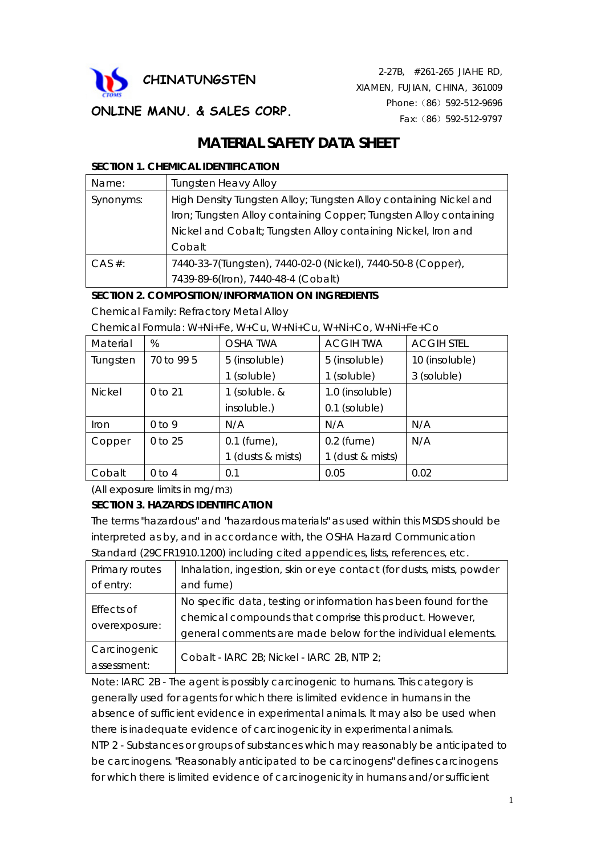

 2-27B, #261-265 JIAHE RD, XIAMEN, FUJIAN, CHINA, 361009 Phone: (86) 592-512-9696 Fax:(86)592-512-9797

## **ONLINE MANU. & SALES CORP.**

# **MATERIAL SAFETY DATA SHEET**

### **SECTION 1. CHEMICAL IDENTIFICATION**

| Name:      | <b>Tungsten Heavy Alloy</b>                                       |  |
|------------|-------------------------------------------------------------------|--|
| Synonyms:  | High Density Tungsten Alloy; Tungsten Alloy containing Nickel and |  |
|            | Iron; Tungsten Alloy containing Copper; Tungsten Alloy containing |  |
|            | Nickel and Cobalt; Tungsten Alloy containing Nickel, Iron and     |  |
|            | Cobalt                                                            |  |
| $CAS \#$ : | 7440-33-7(Tungsten), 7440-02-0 (Nickel), 7440-50-8 (Copper),      |  |
|            | 7439-89-6(Iron), 7440-48-4 (Cobalt)                               |  |

## **SECTION 2. COMPOSITION/INFORMATION ON INGREDIENTS**

Chemical Family: Refractory Metal Alloy

| Material      | %          | OSHA TWA          | <b>ACGIHTWA</b>  | <b>ACGIH STEL</b> |
|---------------|------------|-------------------|------------------|-------------------|
| Tungsten      | 70 to 99 5 | 5 (insoluble)     | 5 (insoluble)    | 10 (insoluble)    |
|               |            | 1 (soluble)       | 1 (soluble)      | 3 (soluble)       |
| <b>Nickel</b> | 0 to 21    | 1 (soluble. &     | 1.0 (insoluble)  |                   |
|               |            | insoluble.)       | 0.1 (soluble)    |                   |
| <i>I</i> ron  | $0$ to 9   | N/A               | N/A              | N/A               |
| Copper        | $0$ to 25  | $0.1$ (fume),     | $0.2$ (fume)     | N/A               |
|               |            | 1 (dusts & mists) | 1 (dust & mists) |                   |
| Cobalt        | $0$ to 4   | 0.1               | 0.05             | 0.02              |

Chemical Formula: W+Ni+Fe, W+Cu, W+Ni+Cu, W+Ni+Co, W+Ni+Fe+Co

(All exposure limits in mg/m3)

## **SECTION 3. HAZARDS IDENTIFICATION**

The terms "hazardous" and "hazardous materials" as used within this MSDS should be interpreted as by, and in accordance with, the OSHA Hazard Communication Standard (29CFR1910.1200) including cited appendices, lists, references, etc.

| Primary routes              | Inhalation, ingestion, skin or eye contact (for dusts, mists, powder |
|-----------------------------|----------------------------------------------------------------------|
| of entry:                   | and fume)                                                            |
| Effects of<br>overexposure: | No specific data, testing or information has been found for the      |
|                             | chemical compounds that comprise this product. However,              |
|                             | general comments are made below for the individual elements.         |
| Carcinogenic                | Cobalt - IARC 2B; Nickel - IARC 2B, NTP 2;                           |
| assessment:                 |                                                                      |

Note: IARC 2B - The agent is possibly carcinogenic to humans. This category is generally used for agents for which there is limited evidence in humans in the absence of sufficient evidence in experimental animals. It may also be used when there is inadequate evidence of carcinogenicity in experimental animals. NTP 2 - Substances or groups of substances which may reasonably be anticipated to be carcinogens. "Reasonably anticipated to be carcinogens" defines carcinogens for which there is limited evidence of carcinogenicity in humans and/or sufficient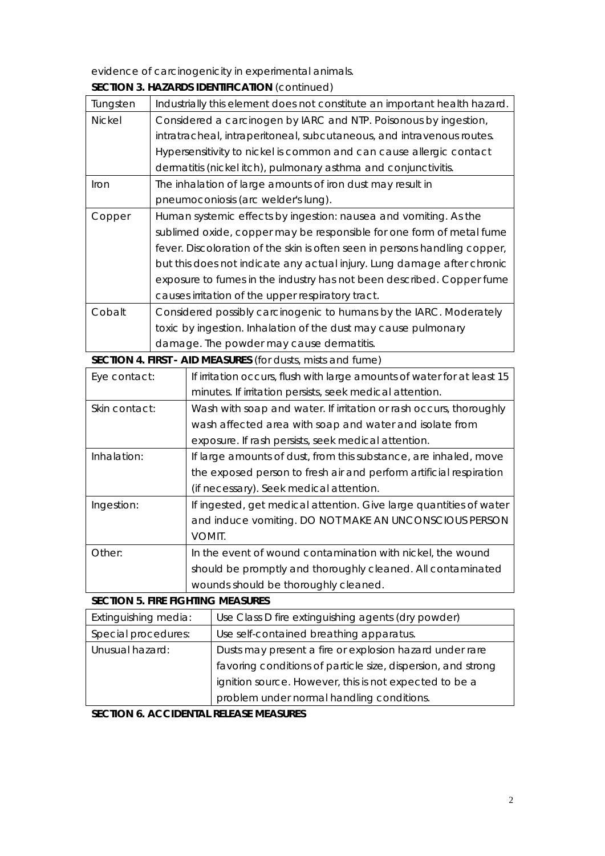evidence of carcinogenicity in experimental animals.

## **SECTION 3. HAZARDS IDENTIFICATION** (continued)

| Tungsten      | Industrially this element does not constitute an important health hazard.  |
|---------------|----------------------------------------------------------------------------|
| <b>Nickel</b> | Considered a carcinogen by IARC and NTP. Poisonous by ingestion,           |
|               | intratracheal, intraperitoneal, subcutaneous, and intravenous routes.      |
|               | Hypersensitivity to nickel is common and can cause allergic contact        |
|               | dermatitis (nickel itch), pulmonary asthma and conjunctivitis.             |
| Iron          | The inhalation of large amounts of iron dust may result in                 |
|               | pneumoconiosis (arc welder's lung).                                        |
| Copper        | Human systemic effects by ingestion: nausea and vomiting. As the           |
|               | sublimed oxide, copper may be responsible for one form of metal fume       |
|               | fever. Discoloration of the skin is often seen in persons handling copper, |
|               | but this does not indicate any actual injury. Lung damage after chronic    |
|               | exposure to fumes in the industry has not been described. Copper fume      |
|               | causes irritation of the upper respiratory tract.                          |
| Cobalt        | Considered possibly carcinogenic to humans by the IARC. Moderately         |
|               | toxic by ingestion. Inhalation of the dust may cause pulmonary             |
|               | damage. The powder may cause dermatitis.                                   |

**SECTION 4. FIRST - AID MEASURES** (for dusts, mists and fume)

| Eye contact:  | If irritation occurs, flush with large amounts of water for at least 15 |
|---------------|-------------------------------------------------------------------------|
|               | minutes. If irritation persists, seek medical attention.                |
| Skin contact: | Wash with soap and water. If irritation or rash occurs, thoroughly      |
|               | wash affected area with soap and water and isolate from                 |
|               | exposure. If rash persists, seek medical attention.                     |
| Inhalation:   | If large amounts of dust, from this substance, are inhaled, move        |
|               | the exposed person to fresh air and perform artificial respiration      |
|               | (if necessary). Seek medical attention.                                 |
| Ingestion:    | If ingested, get medical attention. Give large quantities of water      |
|               | and induce vomiting. DO NOT MAKE AN UNCONSCIOUS PERSON                  |
|               | VOMIT.                                                                  |
| Other:        | In the event of wound contamination with nickel, the wound              |
|               | should be promptly and thoroughly cleaned. All contaminated             |
|               | wounds should be thoroughly cleaned.                                    |

#### **SECTION 5. FIRE FIGHTING MEASURES**

| Extinguishing media: | Use Class D fire extinguishing agents (dry powder)           |
|----------------------|--------------------------------------------------------------|
| Special procedures:  | Use self-contained breathing apparatus.                      |
| Unusual hazard:      | Dusts may present a fire or explosion hazard under rare      |
|                      | favoring conditions of particle size, dispersion, and strong |
|                      | ignition source. However, this is not expected to be a       |
|                      | problem under normal handling conditions.                    |

#### **SECTION 6. ACCIDENTAL RELEASE MEASURES**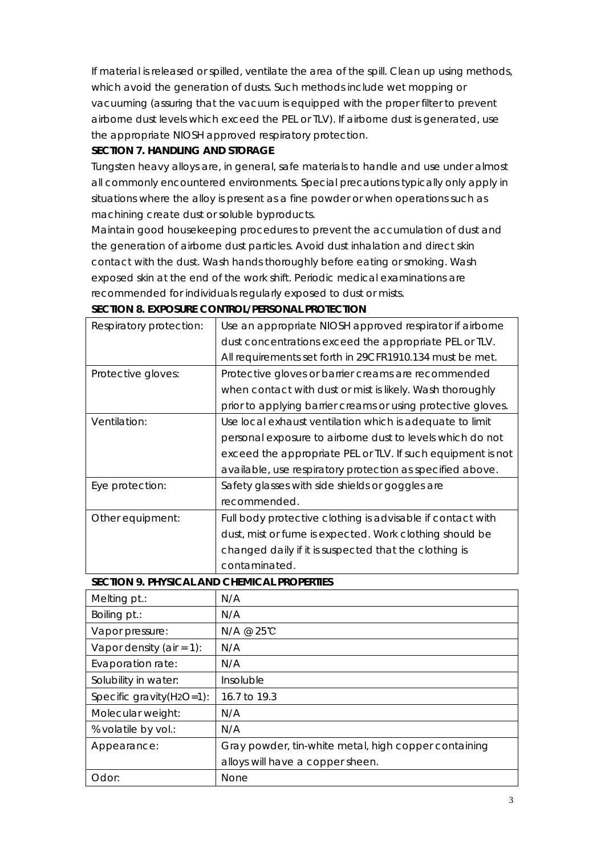If material is released or spilled, ventilate the area of the spill. Clean up using methods, which avoid the generation of dusts. Such methods include wet mopping or vacuuming (assuring that the vacuum is equipped with the proper filter to prevent airborne dust levels which exceed the PEL or TLV). If airborne dust is generated, use the appropriate NIOSH approved respiratory protection.

## **SECTION 7. HANDLING AND STORAGE**

Tungsten heavy alloys are, in general, safe materials to handle and use under almost all commonly encountered environments. Special precautions typically only apply in situations where the alloy is present as a fine powder or when operations such as machining create dust or soluble byproducts.

Maintain good housekeeping procedures to prevent the accumulation of dust and the generation of airborne dust particles. Avoid dust inhalation and direct skin contact with the dust. Wash hands thoroughly before eating or smoking. Wash exposed skin at the end of the work shift. Periodic medical examinations are recommended for individuals regularly exposed to dust or mists.

| Respiratory protection: | Use an appropriate NIOSH approved respirator if airborne     |
|-------------------------|--------------------------------------------------------------|
|                         | dust concentrations exceed the appropriate PEL or TLV.       |
|                         | All requirements set forth in 29CFR1910.134 must be met.     |
| Protective gloves:      | Protective gloves or barrier creams are recommended          |
|                         | when contact with dust or mist is likely. Wash thoroughly    |
|                         | prior to applying barrier creams or using protective gloves. |
| Ventilation:            | Use local exhaust ventilation which is adequate to limit     |
|                         | personal exposure to airborne dust to levels which do not    |
|                         | exceed the appropriate PEL or TLV. If such equipment is not  |
|                         | available, use respiratory protection as specified above.    |
| Eye protection:         | Safety glasses with side shields or goggles are              |
|                         | recommended.                                                 |
| Other equipment:        | Full body protective clothing is advisable if contact with   |
|                         | dust, mist or fume is expected. Work clothing should be      |
|                         | changed daily if it is suspected that the clothing is        |
|                         | contaminated.                                                |

#### **SECTION 8. EXPOSURE CONTROL/PERSONAL PROTECTION**

#### **SECTION 9. PHYSICAL AND CHEMICAL PROPERTIES**

| Melting pt.:                 | N/A                                                  |
|------------------------------|------------------------------------------------------|
| Boiling pt.:                 | N/A                                                  |
| Vapor pressure:              | $N/A$ @ 25°C                                         |
| Vapor density (air = $1$ ):  | N/A                                                  |
| Evaporation rate:            | N/A                                                  |
| Solubility in water:         | Insoluble                                            |
| Specific gravity $(H2O=1)$ : | 16.7 to 19.3                                         |
| Molecular weight:            | N/A                                                  |
| % volatile by vol.:          | N/A                                                  |
| Appearance:                  | Gray powder, tin-white metal, high copper containing |
|                              | alloys will have a copper sheen.                     |
| Odor:                        | None                                                 |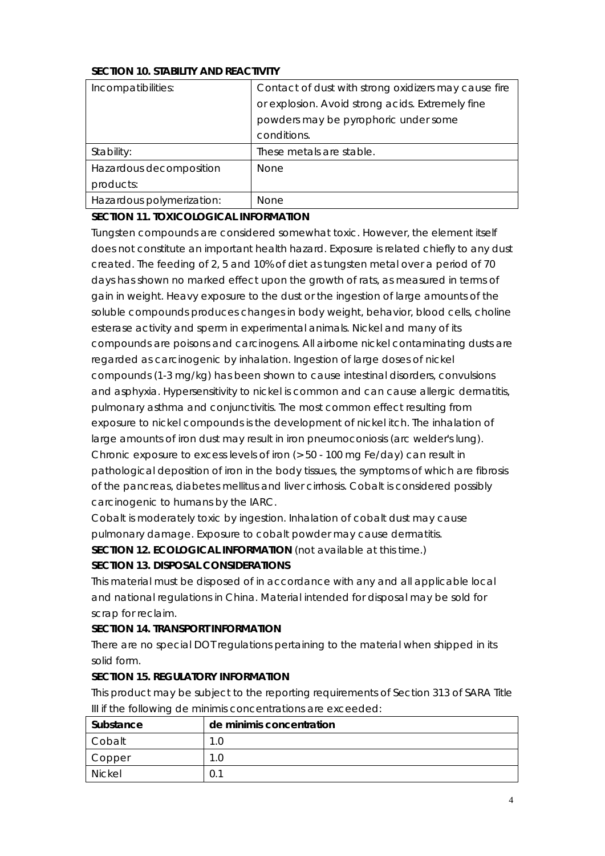## **SECTION 10. STABILITY AND REACTIVITY**

| Incompatibilities:        | Contact of dust with strong oxidizers may cause fire |
|---------------------------|------------------------------------------------------|
|                           | or explosion. Avoid strong acids. Extremely fine     |
|                           | powders may be pyrophoric under some                 |
|                           | conditions.                                          |
| Stability:                | These metals are stable.                             |
| Hazardous decomposition   | <b>None</b>                                          |
| products:                 |                                                      |
| Hazardous polymerization: | <b>None</b>                                          |

#### **SECTION 11. TOXICOLOGICAL INFORMATION**

Tungsten compounds are considered somewhat toxic. However, the element itself does not constitute an important health hazard. Exposure is related chiefly to any dust created. The feeding of 2, 5 and 10% of diet as tungsten metal over a period of 70 days has shown no marked effect upon the growth of rats, as measured in terms of gain in weight. Heavy exposure to the dust or the ingestion of large amounts of the soluble compounds produces changes in body weight, behavior, blood cells, choline esterase activity and sperm in experimental animals. Nickel and many of its compounds are poisons and carcinogens. All airborne nickel contaminating dusts are regarded as carcinogenic by inhalation. Ingestion of large doses of nickel compounds (1-3 mg/kg) has been shown to cause intestinal disorders, convulsions and asphyxia. Hypersensitivity to nickel is common and can cause allergic dermatitis, pulmonary asthma and conjunctivitis. The most common effect resulting from exposure to nickel compounds is the development of nickel itch. The inhalation of large amounts of iron dust may result in iron pneumoconiosis (arc welder's lung). Chronic exposure to excess levels of iron (> 50 - 100 mg Fe/day) can result in pathological deposition of iron in the body tissues, the symptoms of which are fibrosis of the pancreas, diabetes mellitus and liver cirrhosis. Cobalt is considered possibly carcinogenic to humans by the IARC.

Cobalt is moderately toxic by ingestion. Inhalation of cobalt dust may cause pulmonary damage. Exposure to cobalt powder may cause dermatitis.

**SECTION 12. ECOLOGICAL INFORMATION** (not available at this time.)

## **SECTION 13. DISPOSAL CONSIDERATIONS**

This material must be disposed of in accordance with any and all applicable local and national regulations in China. Material intended for disposal may be sold for scrap for reclaim.

## **SECTION 14. TRANSPORT INFORMATION**

There are no special DOT regulations pertaining to the material when shipped in its solid form.

## **SECTION 15. REGULATORY INFORMATION**

This product may be subject to the reporting requirements of Section 313 of SARA Title III if the following de minimis concentrations are exceeded:

| Substance     | de minimis concentration |
|---------------|--------------------------|
| Cobalt        | $\Omega$                 |
| Copper        | .0                       |
| <b>Nickel</b> |                          |